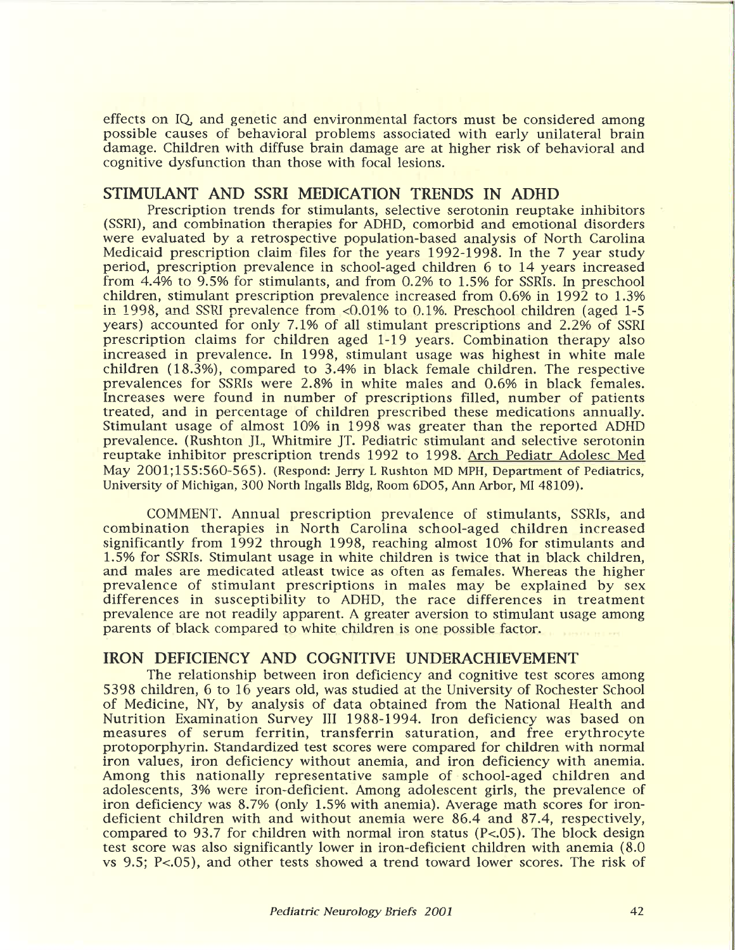effects on IQ and genetic and environmental factors must be considered among possible causes of behavioral problems associated with early unilateral brain damage. Children with diffuse brain damage are at higher risk of behavioral and cognitive dysfunction than those with focal lesions.

## **STIMULANT AND SSRI MEDICATION TRENDS IN ADHD**

Prescription trends for stimulants, selective serotonin reuptake inhibitors (SSRI), and combination therapies for ADHD, comorbid and emotional disorders were evaluated by a retrospective population-based analysis of North Carolina Medicaid prescription claim files for the years 1992-1998. In the 7 year study period, prescription prevalence in school-aged children 6 to 14 years increased from 4.4% to 9.5% for stimulants, and from 0.2% to 1.5% for SSRIs. In preschool children, stimulant prescription prevalence increased from 0.6% in 1992 to 1.3% in 1998, and SSRI prevalence from  $< 0.01\%$  to 0.1%. Preschool children (aged 1-5 years) accounted for only 7.1% of all stimulant prescriptions and 2.2% of SSRI prescription claims for children aged 1-19 years. Combination therapy also increased in prevalence. In 1998, stimulant usage was highest in white male children (18.3%), compared to 3.4% in black female children. The respective prevalences for SSRIs were 2.8% in white males and 0.6% in black females. Increases were found in number of prescriptions filled, number of patients treated, and in percentage of children prescribed these medications annually. Stimulant usage of almost 10% in 1998 was greater than the reported ADHD prevalence. (Rushton JL, Whitmire JT. Pediatric stimulant and selective serotonin reuptake inhibitor prescription trends 1992 to 1998. Arch Pediatr Adolesc Med May 2001;155:560-565). (Respond: Jerry L Rushton MD MPH, Department of Pediatrics, University of Michigan, 300 North Ingalls Bldg, Room 6D05, Ann Arbor, MI 48109).

COMMENT. Annual prescription prevalence of stimulants, SSRIs, and combination therapies in North Carolina school-aged children increased significantly from 1992 through 1998, reaching almost 10% for stimulants and 1.5% for SSRIs. Stimulant usage in white children is twice that in black children, and males are medicated atleast twice as often as females. Whereas the higher prevalence of stimulant prescriptions in males may be explained by sex differences in susceptibility to ADHD, the race differences in treatment prevalence are not readily apparent. A greater aversion to stimulant usage among differences in susceptibility to ADHD, the race differences in treatment<br>prevalence are not readily apparent. A greater aversion to stimulant usage among<br>parents of black compared to white children is one possible factor.<br>

## **IRON DEFICIENCY AND COGNITIVE UNDERACHIEVEMENT**

The relationship between iron deficiency and cognitive test scores among 5398 children, 6 to 16 years old, was studied at the University of Rochester School of Medicine, NY, by analysis of data obtained from the National Health and Nutrition Examination Survey III 1988-1994. Iron deficiency was based on measures of serum ferritin, transferrin saturation, and free erythrocyte protoporphyrin. Standardized test scores were compared for children with normal iron values, iron deficiency without anemia, and iron deficiency with anemia. Among this nationally representative sample of school-aged children and adolescents, 3% were iron-deficient. Among adolescent girls, the prevalence of iron deficiency was 8.7% (only 1.5% with anemia). Average math scores for irondeficient children with and without anemia were 86.4 and 87.4, respectively, compared to 93.7 for children with normal iron status (P<.05). The block design test score was also significantly lower in iron-deficient children with anemia (8.0 vs 9.5: P<.05), and other tests showed a trend toward lower scores. The risk of